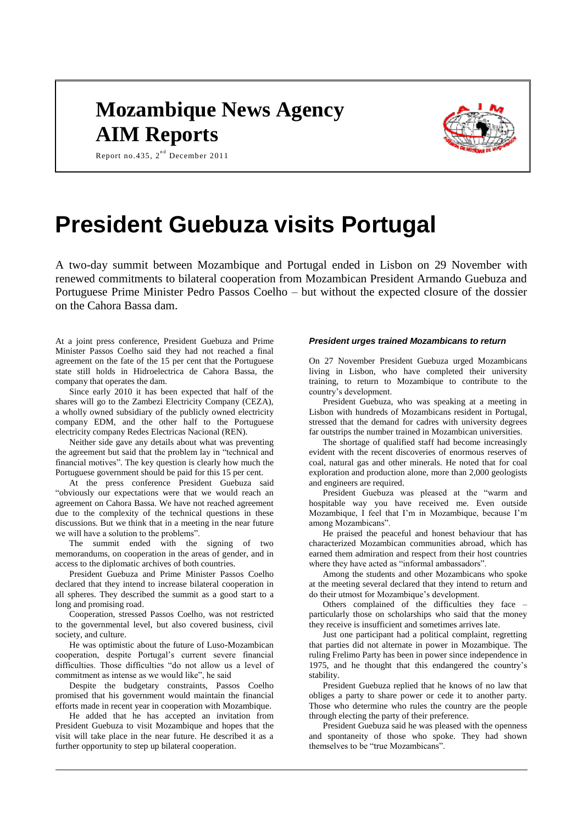## **Mozambique News Agency AIM Reports**



Report no. 435,  $2^{nd}$  December 2011

# **President Guebuza visits Portugal**

A two-day summit between Mozambique and Portugal ended in Lisbon on 29 November with renewed commitments to bilateral cooperation from Mozambican President Armando Guebuza and Portuguese Prime Minister Pedro Passos Coelho – but without the expected closure of the dossier on the Cahora Bassa dam.

At a joint press conference, President Guebuza and Prime Minister Passos Coelho said they had not reached a final agreement on the fate of the 15 per cent that the Portuguese state still holds in Hidroelectrica de Cahora Bassa, the company that operates the dam.

Since early 2010 it has been expected that half of the shares will go to the Zambezi Electricity Company (CEZA), a wholly owned subsidiary of the publicly owned electricity company EDM, and the other half to the Portuguese electricity company Redes Electricas Nacional (REN).

Neither side gave any details about what was preventing the agreement but said that the problem lay in "technical and financial motives". The key question is clearly how much the Portuguese government should be paid for this 15 per cent.

At the press conference President Guebuza said "obviously our expectations were that we would reach an agreement on Cahora Bassa. We have not reached agreement due to the complexity of the technical questions in these discussions. But we think that in a meeting in the near future we will have a solution to the problems".

The summit ended with the signing of two memorandums, on cooperation in the areas of gender, and in access to the diplomatic archives of both countries.

President Guebuza and Prime Minister Passos Coelho declared that they intend to increase bilateral cooperation in all spheres. They described the summit as a good start to a long and promising road.

Cooperation, stressed Passos Coelho, was not restricted to the governmental level, but also covered business, civil society, and culture.

He was optimistic about the future of Luso-Mozambican cooperation, despite Portugal's current severe financial difficulties. Those difficulties "do not allow us a level of commitment as intense as we would like", he said

Despite the budgetary constraints, Passos Coelho promised that his government would maintain the financial efforts made in recent year in cooperation with Mozambique.

He added that he has accepted an invitation from President Guebuza to visit Mozambique and hopes that the visit will take place in the near future. He described it as a further opportunity to step up bilateral cooperation.

#### *President urges trained Mozambicans to return*

On 27 November President Guebuza urged Mozambicans living in Lisbon, who have completed their university training, to return to Mozambique to contribute to the country's development.

President Guebuza, who was speaking at a meeting in Lisbon with hundreds of Mozambicans resident in Portugal, stressed that the demand for cadres with university degrees far outstrips the number trained in Mozambican universities.

The shortage of qualified staff had become increasingly evident with the recent discoveries of enormous reserves of coal, natural gas and other minerals. He noted that for coal exploration and production alone, more than 2,000 geologists and engineers are required.

President Guebuza was pleased at the "warm and hospitable way you have received me. Even outside Mozambique, I feel that I'm in Mozambique, because I'm among Mozambicans".

He praised the peaceful and honest behaviour that has characterized Mozambican communities abroad, which has earned them admiration and respect from their host countries where they have acted as "informal ambassadors".

Among the students and other Mozambicans who spoke at the meeting several declared that they intend to return and do their utmost for Mozambique's development.

Others complained of the difficulties they face – particularly those on scholarships who said that the money they receive is insufficient and sometimes arrives late.

Just one participant had a political complaint, regretting that parties did not alternate in power in Mozambique. The ruling Frelimo Party has been in power since independence in 1975, and he thought that this endangered the country's stability.

President Guebuza replied that he knows of no law that obliges a party to share power or cede it to another party. Those who determine who rules the country are the people through electing the party of their preference.

President Guebuza said he was pleased with the openness and spontaneity of those who spoke. They had shown themselves to be "true Mozambicans".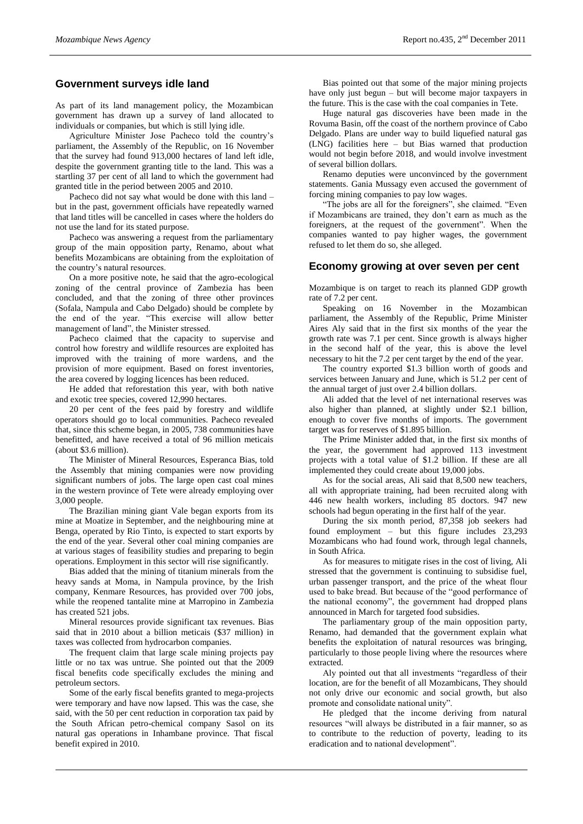#### **Government surveys idle land**

As part of its land management policy, the Mozambican government has drawn up a survey of land allocated to individuals or companies, but which is still lying idle.

Agriculture Minister Jose Pacheco told the country's parliament, the Assembly of the Republic, on 16 November that the survey had found 913,000 hectares of land left idle, despite the government granting title to the land. This was a startling 37 per cent of all land to which the government had granted title in the period between 2005 and 2010.

Pacheco did not say what would be done with this land – but in the past, government officials have repeatedly warned that land titles will be cancelled in cases where the holders do not use the land for its stated purpose.

Pacheco was answering a request from the parliamentary group of the main opposition party, Renamo, about what benefits Mozambicans are obtaining from the exploitation of the country's natural resources.

On a more positive note, he said that the agro-ecological zoning of the central province of Zambezia has been concluded, and that the zoning of three other provinces (Sofala, Nampula and Cabo Delgado) should be complete by the end of the year. "This exercise will allow better management of land", the Minister stressed.

Pacheco claimed that the capacity to supervise and control how forestry and wildlife resources are exploited has improved with the training of more wardens, and the provision of more equipment. Based on forest inventories, the area covered by logging licences has been reduced.

He added that reforestation this year, with both native and exotic tree species, covered 12,990 hectares.

20 per cent of the fees paid by forestry and wildlife operators should go to local communities. Pacheco revealed that, since this scheme began, in 2005, 738 communities have benefitted, and have received a total of 96 million meticais (about \$3.6 million).

The Minister of Mineral Resources, Esperanca Bias, told the Assembly that mining companies were now providing significant numbers of jobs. The large open cast coal mines in the western province of Tete were already employing over 3,000 people.

The Brazilian mining giant Vale began exports from its mine at Moatize in September, and the neighbouring mine at Benga, operated by Rio Tinto, is expected to start exports by the end of the year. Several other coal mining companies are at various stages of feasibility studies and preparing to begin operations. Employment in this sector will rise significantly.

Bias added that the mining of titanium minerals from the heavy sands at Moma, in Nampula province, by the Irish company, Kenmare Resources, has provided over 700 jobs, while the reopened tantalite mine at Marropino in Zambezia has created 521 jobs.

Mineral resources provide significant tax revenues. Bias said that in 2010 about a billion meticais (\$37 million) in taxes was collected from hydrocarbon companies.

The frequent claim that large scale mining projects pay little or no tax was untrue. She pointed out that the 2009 fiscal benefits code specifically excludes the mining and petroleum sectors.

Some of the early fiscal benefits granted to mega-projects were temporary and have now lapsed. This was the case, she said, with the 50 per cent reduction in corporation tax paid by the South African petro-chemical company Sasol on its natural gas operations in Inhambane province. That fiscal benefit expired in 2010.

Bias pointed out that some of the major mining projects have only just begun – but will become major taxpayers in the future. This is the case with the coal companies in Tete.

Huge natural gas discoveries have been made in the Rovuma Basin, off the coast of the northern province of Cabo Delgado. Plans are under way to build liquefied natural gas (LNG) facilities here – but Bias warned that production would not begin before 2018, and would involve investment of several billion dollars.

Renamo deputies were unconvinced by the government statements. Gania Mussagy even accused the government of forcing mining companies to pay low wages.

"The jobs are all for the foreigners", she claimed. "Even if Mozambicans are trained, they don't earn as much as the foreigners, at the request of the government". When the companies wanted to pay higher wages, the government refused to let them do so, she alleged.

#### **Economy growing at over seven per cent**

Mozambique is on target to reach its planned GDP growth rate of 7.2 per cent.

Speaking on 16 November in the Mozambican parliament, the Assembly of the Republic, Prime Minister Aires Aly said that in the first six months of the year the growth rate was 7.1 per cent. Since growth is always higher in the second half of the year, this is above the level necessary to hit the 7.2 per cent target by the end of the year.

The country exported \$1.3 billion worth of goods and services between January and June, which is 51.2 per cent of the annual target of just over 2.4 billion dollars.

Ali added that the level of net international reserves was also higher than planned, at slightly under \$2.1 billion, enough to cover five months of imports. The government target was for reserves of \$1.895 billion.

The Prime Minister added that, in the first six months of the year, the government had approved 113 investment projects with a total value of \$1.2 billion. If these are all implemented they could create about 19,000 jobs.

As for the social areas, Ali said that 8,500 new teachers, all with appropriate training, had been recruited along with 446 new health workers, including 85 doctors. 947 new schools had begun operating in the first half of the year.

During the six month period, 87,358 job seekers had found employment – but this figure includes 23,293 Mozambicans who had found work, through legal channels, in South Africa.

As for measures to mitigate rises in the cost of living, Ali stressed that the government is continuing to subsidise fuel, urban passenger transport, and the price of the wheat flour used to bake bread. But because of the "good performance of the national economy", the government had dropped plans announced in March for targeted food subsidies.

The parliamentary group of the main opposition party, Renamo, had demanded that the government explain what benefits the exploitation of natural resources was bringing, particularly to those people living where the resources where extracted.

Aly pointed out that all investments "regardless of their location, are for the benefit of all Mozambicans, They should not only drive our economic and social growth, but also promote and consolidate national unity".

He pledged that the income deriving from natural resources "will always be distributed in a fair manner, so as to contribute to the reduction of poverty, leading to its eradication and to national development".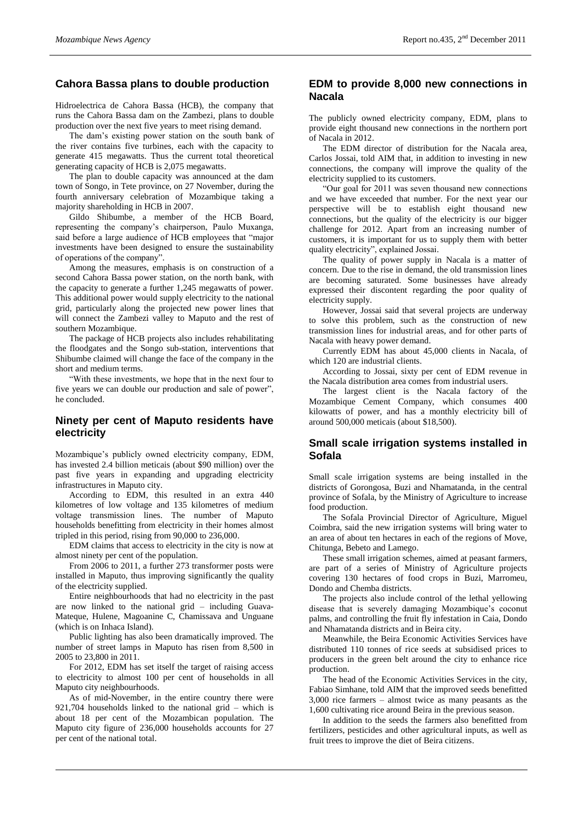#### **Cahora Bassa plans to double production**

Hidroelectrica de Cahora Bassa (HCB), the company that runs the Cahora Bassa dam on the Zambezi, plans to double production over the next five years to meet rising demand.

The dam's existing power station on the south bank of the river contains five turbines, each with the capacity to generate 415 megawatts. Thus the current total theoretical generating capacity of HCB is 2,075 megawatts.

The plan to double capacity was announced at the dam town of Songo, in Tete province, on 27 November, during the fourth anniversary celebration of Mozambique taking a majority shareholding in HCB in 2007.

Gildo Shibumbe, a member of the HCB Board, representing the company's chairperson, Paulo Muxanga, said before a large audience of HCB employees that "major investments have been designed to ensure the sustainability of operations of the company".

Among the measures, emphasis is on construction of a second Cahora Bassa power station, on the north bank, with the capacity to generate a further 1,245 megawatts of power. This additional power would supply electricity to the national grid, particularly along the projected new power lines that will connect the Zambezi valley to Maputo and the rest of southern Mozambique.

The package of HCB projects also includes rehabilitating the floodgates and the Songo sub-station, interventions that Shibumbe claimed will change the face of the company in the short and medium terms.

With these investments, we hope that in the next four to five years we can double our production and sale of power", he concluded.

#### **Ninety per cent of Maputo residents have electricity**

Mozambique's publicly owned electricity company, EDM, has invested 2.4 billion meticais (about \$90 million) over the past five years in expanding and upgrading electricity infrastructures in Maputo city.

According to EDM, this resulted in an extra 440 kilometres of low voltage and 135 kilometres of medium voltage transmission lines. The number of Maputo households benefitting from electricity in their homes almost tripled in this period, rising from 90,000 to 236,000.

EDM claims that access to electricity in the city is now at almost ninety per cent of the population.

From 2006 to 2011, a further 273 transformer posts were installed in Maputo, thus improving significantly the quality of the electricity supplied.

Entire neighbourhoods that had no electricity in the past are now linked to the national grid – including Guava-Mateque, Hulene, Magoanine C, Chamissava and Unguane (which is on Inhaca Island).

Public lighting has also been dramatically improved. The number of street lamps in Maputo has risen from 8,500 in 2005 to 23,800 in 2011.

For 2012, EDM has set itself the target of raising access to electricity to almost 100 per cent of households in all Maputo city neighbourhoods.

As of mid-November, in the entire country there were 921,704 households linked to the national grid – which is about 18 per cent of the Mozambican population. The Maputo city figure of 236,000 households accounts for 27 per cent of the national total.

#### **EDM to provide 8,000 new connections in Nacala**

The publicly owned electricity company, EDM, plans to provide eight thousand new connections in the northern port of Nacala in 2012.

The EDM director of distribution for the Nacala area, Carlos Jossai, told AIM that, in addition to investing in new connections, the company will improve the quality of the electricity supplied to its customers.

"Our goal for 2011 was seven thousand new connections and we have exceeded that number. For the next year our perspective will be to establish eight thousand new connections, but the quality of the electricity is our bigger challenge for 2012. Apart from an increasing number of customers, it is important for us to supply them with better quality electricity", explained Jossai.

The quality of power supply in Nacala is a matter of concern. Due to the rise in demand, the old transmission lines are becoming saturated. Some businesses have already expressed their discontent regarding the poor quality of electricity supply.

However, Jossai said that several projects are underway to solve this problem, such as the construction of new transmission lines for industrial areas, and for other parts of Nacala with heavy power demand.

Currently EDM has about 45,000 clients in Nacala, of which 120 are industrial clients.

According to Jossai, sixty per cent of EDM revenue in the Nacala distribution area comes from industrial users.

The largest client is the Nacala factory of the Mozambique Cement Company, which consumes 400 kilowatts of power, and has a monthly electricity bill of around 500,000 meticais (about \$18,500).

### **Small scale irrigation systems installed in Sofala**

Small scale irrigation systems are being installed in the districts of Gorongosa, Buzi and Nhamatanda, in the central province of Sofala, by the Ministry of Agriculture to increase food production.

The Sofala Provincial Director of Agriculture, Miguel Coimbra, said the new irrigation systems will bring water to an area of about ten hectares in each of the regions of Move, Chitunga, Bebeto and Lamego.

These small irrigation schemes, aimed at peasant farmers, are part of a series of Ministry of Agriculture projects covering 130 hectares of food crops in Buzi, Marromeu, Dondo and Chemba districts.

The projects also include control of the lethal yellowing disease that is severely damaging Mozambique's coconut palms, and controlling the fruit fly infestation in Caia, Dondo and Nhamatanda districts and in Beira city.

Meanwhile, the Beira Economic Activities Services have distributed 110 tonnes of rice seeds at subsidised prices to producers in the green belt around the city to enhance rice production.

The head of the Economic Activities Services in the city, Fabiao Simhane, told AIM that the improved seeds benefitted 3,000 rice farmers – almost twice as many peasants as the 1,600 cultivating rice around Beira in the previous season.

In addition to the seeds the farmers also benefitted from fertilizers, pesticides and other agricultural inputs, as well as fruit trees to improve the diet of Beira citizens.